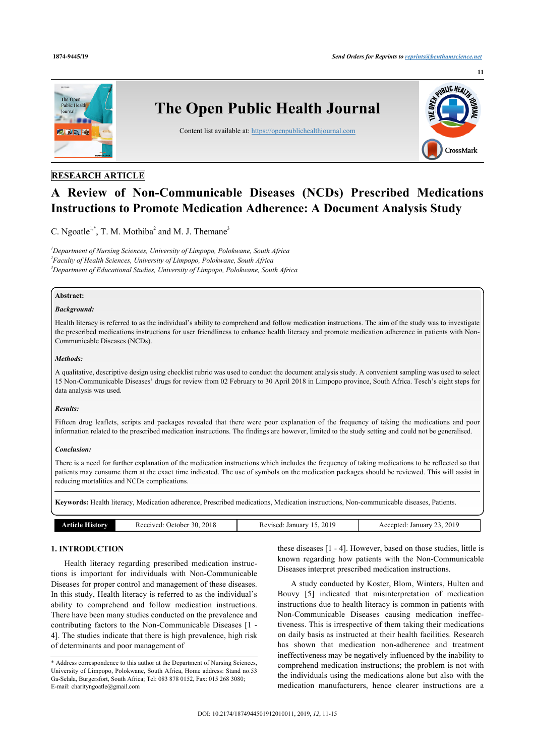

# **RESEARCH ARTICLE**

# **A Review of Non-Communicable Diseases (NCDs) Prescribed Medications Instructions to Promote Medication Adherence: A Document Analysis Study**

C. Ngoatle<sup>[1,](#page-0-0)[\\*](#page-0-1)</sup>, T. M. Mothiba<sup>[2](#page-0-2)</sup> and M. J. Themane<sup>[3](#page-0-3)</sup>

<span id="page-0-3"></span><span id="page-0-2"></span><span id="page-0-0"></span>*<sup>1</sup>Department of Nursing Sciences, University of Limpopo, Polokwane, South Africa 2 Faculty of Health Sciences, University of Limpopo, Polokwane, South Africa <sup>3</sup>Department of Educational Studies, University of Limpopo, Polokwane, South Africa*

#### **Abstract:**

#### *Background:*

Health literacy is referred to as the individual's ability to comprehend and follow medication instructions. The aim of the study was to investigate the prescribed medications instructions for user friendliness to enhance health literacy and promote medication adherence in patients with Non-Communicable Diseases (NCDs).

#### *Methods:*

A qualitative, descriptive design using checklist rubric was used to conduct the document analysis study. A convenient sampling was used to select 15 Non-Communicable Diseases' drugs for review from 02 February to 30 April 2018 in Limpopo province, South Africa. Tesch's eight steps for data analysis was used.

### *Results:*

Fifteen drug leaflets, scripts and packages revealed that there were poor explanation of the frequency of taking the medications and poor information related to the prescribed medication instructions. The findings are however, limited to the study setting and could not be generalised.

## *Conclusion:*

There is a need for further explanation of the medication instructions which includes the frequency of taking medications to be reflected so that patients may consume them at the exact time indicated. The use of symbols on the medication packages should be reviewed. This will assist in reducing mortalities and NCDs complications.

**Keywords:** Health literacy, Medication adherence, Prescribed medications, Medication instructions, Non-communicable diseases, Patients.

| <b>Article F</b><br>. . INOV | 2018<br>Received<br>. )ctober<br>- 30. | 2019<br>January<br>Revised. | 2019<br>January<br>Accepted. |
|------------------------------|----------------------------------------|-----------------------------|------------------------------|
|                              |                                        |                             |                              |

#### **1. INTRODUCTION**

Health literacy regarding prescribed medication instructions is important for individuals with Non-Communicable Diseases for proper control and management of these diseases. In this study, Health literacy is referred to as the individual's ability to comprehend and follow medication instructions. There have been many studies conducted on the prevalence and contributing factors to the Non-Communicable Diseases [\[1](#page-4-0) - [4](#page-4-1)]. The studies indicate that there is high prevalence, high risk of determinants and poor management of

these diseases [\[1](#page-4-0) - [4](#page-4-1)]. However, based on those studies, little is known regarding how patients with the Non-Communicable Diseases interpret prescribed medication instructions.

A study conducted by Koster, Blom, Winters, Hulten and Bouvy [\[5\]](#page-4-2) indicated that misinterpretation of medication instructions due to health literacy is common in patients with Non-Communicable Diseases causing medication ineffectiveness. This is irrespective of them taking their medications on daily basis as instructed at their health facilities. Research has shown that medication non-adherence and treatment ineffectiveness may be negatively influenced by the inability to comprehend medication instructions; the problem is not with the individuals using the medications alone but also with the medication manufacturers, hence clearer instructions are a

<span id="page-0-1"></span><sup>\*</sup> Address correspondence to this author at the Department of Nursing Sciences, University of Limpopo, Polokwane, South Africa, Home address: Stand no.53 Ga-Selala, Burgersfort, South Africa; Tel: 083 878 0152, Fax: 015 268 3080; E-mail: [charityngoatle@gmail.com](mailto:charityngoatle@gmail.com)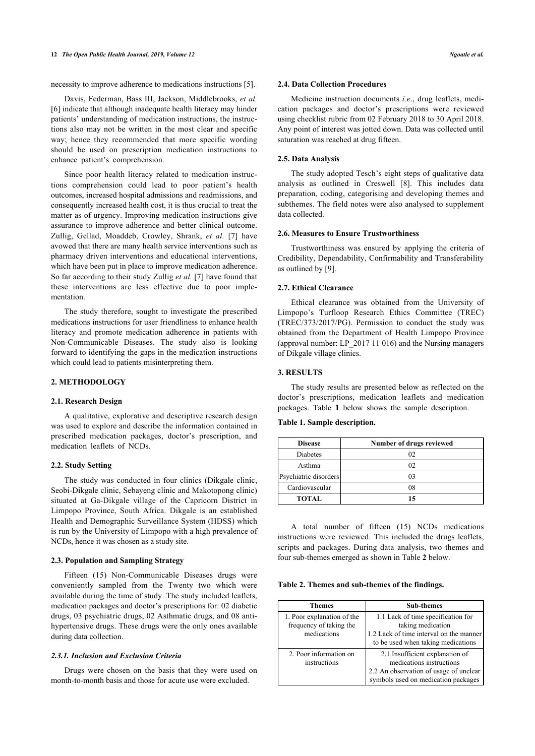necessity to improve adherence to medications instructions [\[5\]](#page-4-2).

Davis, Federman, Bass III, Jackson, Middlebrooks, *et al.* [[6](#page-4-3)] indicate that although inadequate health literacy may hinder patients' understanding of medication instructions, the instructions also may not be written in the most clear and specific way; hence they recommended that more specific wording should be used on prescription medication instructions to enhance patient's comprehension.

Since poor health literacy related to medication instructions comprehension could lead to poor patient's health outcomes, increased hospital admissions and readmissions, and consequently increased health cost, it is thus crucial to treat the matter as of urgency. Improving medication instructions give assurance to improve adherence and better clinical outcome. Zullig, Gellad, Moaddeb, Crowley, Shrank, *et al.* [[7\]](#page-4-4) have avowed that there are many health service interventions such as pharmacy driven interventions and educational interventions, which have been put in place to improve medication adherence. So far according to their study Zullig *et al.* [\[7\]](#page-4-4) have found that these interventions are less effective due to poor implementation.

The study therefore, sought to investigate the prescribed medications instructions for user friendliness to enhance health literacy and promote medication adherence in patients with Non-Communicable Diseases. The study also is looking forward to identifying the gaps in the medication instructions which could lead to patients misinterpreting them.

## **2. METHODOLOGY**

#### **2.1. Research Design**

<span id="page-1-0"></span>A qualitative, explorative and descriptive research design was used to explore and describe the information contained in prescribed medication packages, doctor's prescription, and medication leaflets of NCDs.

#### **2.2. Study Setting**

The study was conducted in four clinics (Dikgale clinic, Seobi-Dikgale clinic, Sebayeng clinic and Makotopong clinic) situated at Ga-Dikgale village of the Capricorn District in Limpopo Province, South Africa. Dikgale is an established Health and Demographic Surveillance System (HDSS) which is run by the University of Limpopo with a high prevalence of NCDs, hence it was chosen as a study site.

#### **2.3. Population and Sampling Strategy**

<span id="page-1-1"></span>Fifteen (15) Non-Communicable Diseases drugs were conveniently sampled from the Twenty two which were available during the time of study. The study included leaflets, medication packages and doctor's prescriptions for: 02 diabetic drugs, 03 psychiatric drugs, 02 Asthmatic drugs, and 08 antihypertensive drugs. These drugs were the only ones available during data collection.

#### *2.3.1. Inclusion and Exclusion Criteria*

Drugs were chosen on the basis that they were used on month-to-month basis and those for acute use were excluded.

#### **2.4. Data Collection Procedures**

Medicine instruction documents *i.e*., drug leaflets, medication packages and doctor's prescriptions were reviewed using checklist rubric from 02 February 2018 to 30 April 2018. Any point of interest was jotted down. Data was collected until saturation was reached at drug fifteen.

#### **2.5. Data Analysis**

The study adopted Tesch's eight steps of qualitative data analysis as outlined in Creswell[[8](#page-4-5)]. This includes data preparation, coding, categorising and developing themes and subthemes. The field notes were also analysed to supplement data collected.

#### **2.6. Measures to Ensure Trustworthiness**

Trustworthiness was ensured by applying the criteria of Credibility, Dependability, Confirmability and Transferability as outlined by [[9](#page-4-6)].

#### **2.7. Ethical Clearance**

Ethical clearance was obtained from the University of Limpopo's Turfloop Research Ethics Committee (TREC) (TREC/373/2017/PG). Permission to conduct the study was obtained from the Department of Health Limpopo Province (approval number: LP\_2017 11 016) and the Nursing managers of Dikgale village clinics.

#### **3. RESULTS**

The study results are presented below as reflected on the doctor's prescriptions, medication leaflets and medication packages. Table**1** below shows the sample description.

#### **Table 1. Sample description.**

| <b>Disease</b>        | Number of drugs reviewed |
|-----------------------|--------------------------|
| Diabetes              | 02                       |
| Asthma                | 02                       |
| Psychiatric disorders | 03                       |
| Cardiovascular        | 08                       |
| <b>TOTAL</b>          | 15                       |

A total number of fifteen (15) NCDs medications instructions were reviewed. This included the drugs leaflets, scripts and packages. During data analysis, two themes and four sub-themes emerged as shown in Table **[2](#page-1-1)** below.

**Table 2. Themes and sub-themes of the findings.**

| Themes                                                               | <b>Sub-themes</b>                                                                                                                            |
|----------------------------------------------------------------------|----------------------------------------------------------------------------------------------------------------------------------------------|
| 1. Poor explanation of the<br>frequency of taking the<br>medications | 1.1 Lack of time specification for<br>taking medication<br>1.2 Lack of time interval on the manner<br>to be used when taking medications     |
| 2. Poor information on<br>instructions                               | 2.1 Insufficient explanation of<br>medications instructions<br>2.2 An observation of usage of unclear<br>symbols used on medication packages |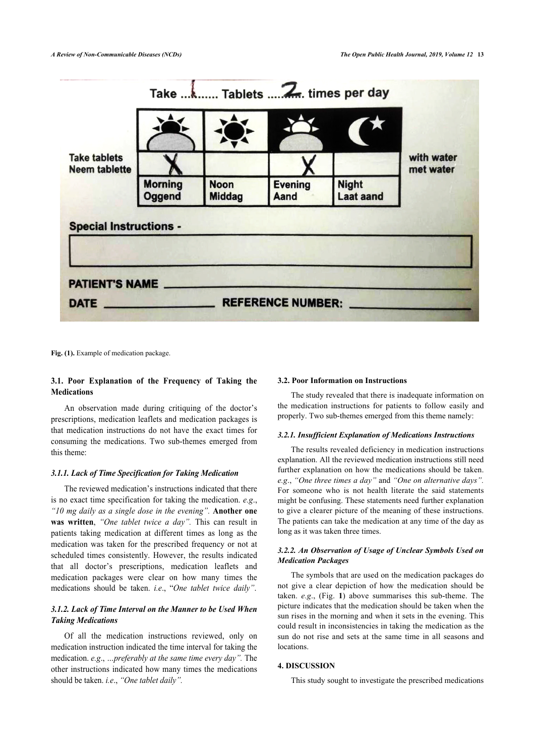<span id="page-2-0"></span>

Fig. (1). Example of medication package.

# **3.1. Poor Explanation of the Frequency of Taking the Medications**

An observation made during critiquing of the doctor's prescriptions, medication leaflets and medication packages is that medication instructions do not have the exact times for consuming the medications. Two sub-themes emerged from this theme:

#### *3.1.1. Lack of Time Specification for Taking Medication*

The reviewed medication's instructions indicated that there is no exact time specification for taking the medication. *e.g*., *"10 mg daily as a single dose in the evening".* **Another one was written**, *"One tablet twice a day".* This can result in patients taking medication at different times as long as the medication was taken for the prescribed frequency or not at scheduled times consistently. However, the results indicated that all doctor's prescriptions, medication leaflets and medication packages were clear on how many times the medications should be taken. *i.e*., "*One tablet twice daily"*.

## *3.1.2. Lack of Time Interval on the Manner to be Used When Taking Medications*

Of all the medication instructions reviewed, only on medication instruction indicated the time interval for taking the medication. *e.g*., *…preferably at the same time every day".* The other instructions indicated how many times the medications should be taken. *i.e*., *"One tablet daily".*

#### **3.2. Poor Information on Instructions**

The study revealed that there is inadequate information on the medication instructions for patients to follow easily and properly. Two sub-themes emerged from this theme namely:

#### *3.2.1. Insufficient Explanation of Medications Instructions*

The results revealed deficiency in medication instructions explanation. All the reviewed medication instructions still need further explanation on how the medications should be taken. *e.g*., *"One three times a day"* and *"One on alternative days".* For someone who is not health literate the said statements might be confusing. These statements need further explanation to give a clearer picture of the meaning of these instructions. The patients can take the medication at any time of the day as long as it was taken three times.

## *3.2.2. An Observation of Usage of Unclear Symbols Used on Medication Packages*

The symbols that are used on the medication packages do not give a clear depiction of how the medication should be taken. *e.g*., (Fig.**1**) above summarises this sub-theme. The picture indicates that the medication should be taken when the sun rises in the morning and when it sets in the evening. This could result in inconsistencies in taking the medication as the sun do not rise and sets at the same time in all seasons and locations.

## **4. DISCUSSION**

This study sought to investigate the prescribed medications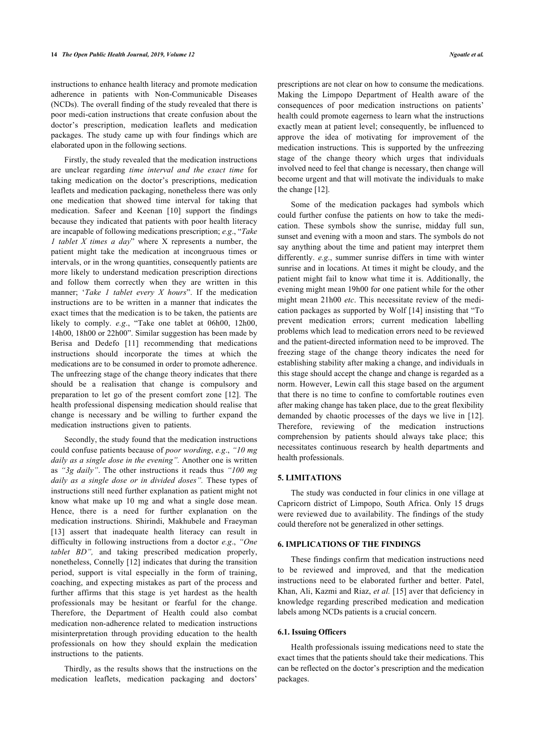instructions to enhance health literacy and promote medication adherence in patients with Non-Communicable Diseases (NCDs). The overall finding of the study revealed that there is poor medi-cation instructions that create confusion about the doctor's prescription, medication leaflets and medication packages. The study came up with four findings which are elaborated upon in the following sections.

Firstly, the study revealed that the medication instructions are unclear regarding *time interval and the exact time* for taking medication on the doctor's prescriptions, medication leaflets and medication packaging, nonetheless there was only one medication that showed time interval for taking that medication. Safeer and Keenan[[10](#page-4-7)] support the findings because they indicated that patients with poor health literacy are incapable of following medications prescription; *e.g*., "*Take 1 tablet X times a day*" where X represents a number, the patient might take the medication at incongruous times or intervals, or in the wrong quantities, consequently patients are more likely to understand medication prescription directions and follow them correctly when they are written in this manner; '*Take 1 tablet every X hours*". If the medication instructions are to be written in a manner that indicates the exact times that the medication is to be taken, the patients are likely to comply. *e.g*., "Take one tablet at 06h00, 12h00, 14h00, 18h00 or 22h00". Similar suggestion has been made by Berisa and Dedefo[[11](#page-4-8)] recommending that medications instructions should incorporate the times at which the medications are to be consumed in order to promote adherence. The unfreezing stage of the change theory indicates that there should be a realisation that change is compulsory and preparation to let go of the present comfort zone[[12\]](#page-4-9). The health professional dispensing medication should realise that change is necessary and be willing to further expand the medication instructions given to patients.

Secondly, the study found that the medication instructions could confuse patients because of *poor wording*, *e.g*., *"10 mg daily as a single dose in the evening".* Another one is written as *"3g daily"*. The other instructions it reads thus *"100 mg daily as a single dose or in divided doses".* These types of instructions still need further explanation as patient might not know what make up 10 mg and what a single dose mean. Hence, there is a need for further explanation on the medication instructions. Shirindi, Makhubele and Fraeyman [[13\]](#page-4-10) assert that inadequate health literacy can result in difficulty in following instructions from a doctor *e.g*., *"One tablet BD",* and taking prescribed medication properly, nonetheless, Connelly [[12](#page-4-9)] indicates that during the transition period, support is vital especially in the form of training, coaching, and expecting mistakes as part of the process and further affirms that this stage is yet hardest as the health professionals may be hesitant or fearful for the change. Therefore, the Department of Health could also combat medication non-adherence related to medication instructions misinterpretation through providing education to the health professionals on how they should explain the medication instructions to the patients.

Thirdly, as the results shows that the instructions on the medication leaflets, medication packaging and doctors'

prescriptions are not clear on how to consume the medications. Making the Limpopo Department of Health aware of the consequences of poor medication instructions on patients' health could promote eagerness to learn what the instructions exactly mean at patient level; consequently, be influenced to approve the idea of motivating for improvement of the medication instructions. This is supported by the unfreezing stage of the change theory which urges that individuals involved need to feel that change is necessary, then change will become urgent and that will motivate the individuals to make the change [[12\]](#page-4-9).

Some of the medication packages had symbols which could further confuse the patients on how to take the medication. These symbols show the sunrise, midday full sun, sunset and evening with a moon and stars. The symbols do not say anything about the time and patient may interpret them differently. *e.g*., summer sunrise differs in time with winter sunrise and in locations. At times it might be cloudy, and the patient might fail to know what time it is. Additionally, the evening might mean 19h00 for one patient while for the other might mean 21h00 *etc*. This necessitate review of the medication packages as supported by Wolf [[14](#page-4-11)] insisting that "To prevent medication errors; current medication labelling problems which lead to medication errors need to be reviewed and the patient-directed information need to be improved. The freezing stage of the change theory indicates the need for establishing stability after making a change, and individuals in this stage should accept the change and change is regarded as a norm. However, Lewin call this stage based on the argument that there is no time to confine to comfortable routines even after making change has taken place, due to the great flexibility demanded by chaotic processes of the days we live in[[12](#page-4-9)]. Therefore, reviewing of the medication instructions comprehension by patients should always take place; this necessitates continuous research by health departments and health professionals.

## **5. LIMITATIONS**

The study was conducted in four clinics in one village at Capricorn district of Limpopo, South Africa. Only 15 drugs were reviewed due to availability. The findings of the study could therefore not be generalized in other settings.

#### **6. IMPLICATIONS OF THE FINDINGS**

These findings confirm that medication instructions need to be reviewed and improved, and that the medication instructions need to be elaborated further and better. Patel, Khan, Ali, Kazmi and Riaz, *et al.* [\[15\]](#page-4-12) aver that deficiency in knowledge regarding prescribed medication and medication labels among NCDs patients is a crucial concern.

## **6.1. Issuing Officers**

Health professionals issuing medications need to state the exact times that the patients should take their medications. This can be reflected on the doctor's prescription and the medication packages.